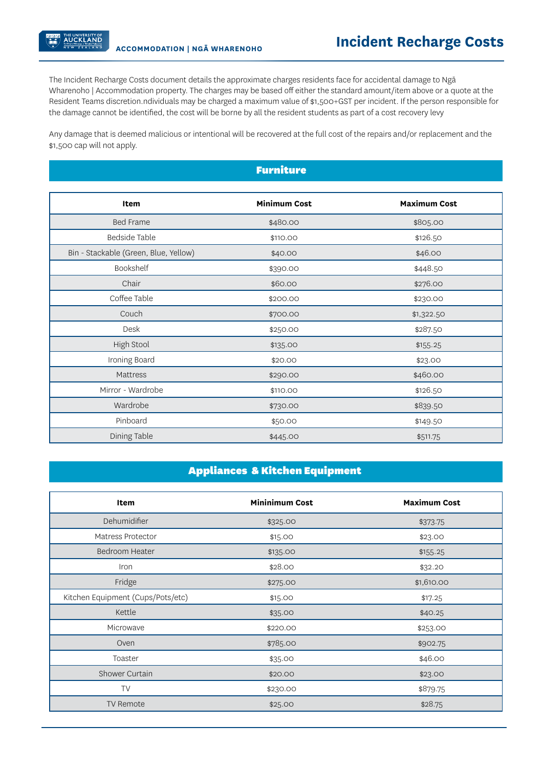THE UNIVERSITY OF<br>**AUCKLAND** 

The Incident Recharge Costs document details the approximate charges residents face for accidental damage to Ngā Wharenoho | Accommodation property. The charges may be based off either the standard amount/item above or a quote at the Resident Teams discretion.ndividuals may be charged a maximum value of \$1,500+GST per incident. If the person responsible for the damage cannot be identified, the cost will be borne by all the resident students as part of a cost recovery levy

Any damage that is deemed malicious or intentional will be recovered at the full cost of the repairs and/or replacement and the \$1,500 cap will not apply.

| <b>Furniture</b>                      |                     |                     |
|---------------------------------------|---------------------|---------------------|
|                                       |                     |                     |
| Item                                  | <b>Minimum Cost</b> | <b>Maximum Cost</b> |
| <b>Bed Frame</b>                      | \$480.00            | \$805.00            |
| Bedside Table                         | \$110.00            | \$126.50            |
| Bin - Stackable (Green, Blue, Yellow) | \$40.00             | \$46.00             |
| Bookshelf                             | \$390.00            | \$448.50            |
| Chair                                 | \$60.00             | \$276.00            |
| Coffee Table                          | \$200.00            | \$230.00            |
| Couch                                 | \$700.00            | \$1,322.50          |
| Desk                                  | \$250.00            | \$287.50            |
| High Stool                            | \$135.00            | \$155.25            |
| Ironing Board                         | \$20.00             | \$23.00             |
| Mattress                              | \$290.00            | \$460.00            |
| Mirror - Wardrobe                     | \$110.00            | \$126.50            |
| Wardrobe                              | \$730.00            | \$839.50            |
| Pinboard                              | \$50.00             | \$149.50            |
| Dining Table                          | \$445.00            | \$511.75            |

## Appliances & Kitchen Equipment

| Item                              | <b>Mininimum Cost</b> | <b>Maximum Cost</b> |
|-----------------------------------|-----------------------|---------------------|
| Dehumidifier                      | \$325.00              | \$373.75            |
| Matress Protector                 | \$15.00               | \$23.00             |
| Bedroom Heater                    | \$135.00              | \$155.25            |
| Iron                              | \$28.00               | \$32.20             |
| Fridge                            | \$275.00              | \$1,610.00          |
| Kitchen Equipment (Cups/Pots/etc) | \$15.00               | \$17.25             |
| Kettle                            | \$35.00               | \$40.25             |
| Microwave                         | \$220.00              | \$253.00            |
| Oven                              | \$785.00              | \$902.75            |
| Toaster                           | \$35.00               | \$46.00             |
| Shower Curtain                    | \$20.00               | \$23.00             |
| TV                                | \$230.00              | \$879.75            |
| <b>TV Remote</b>                  | \$25.00               | \$28.75             |